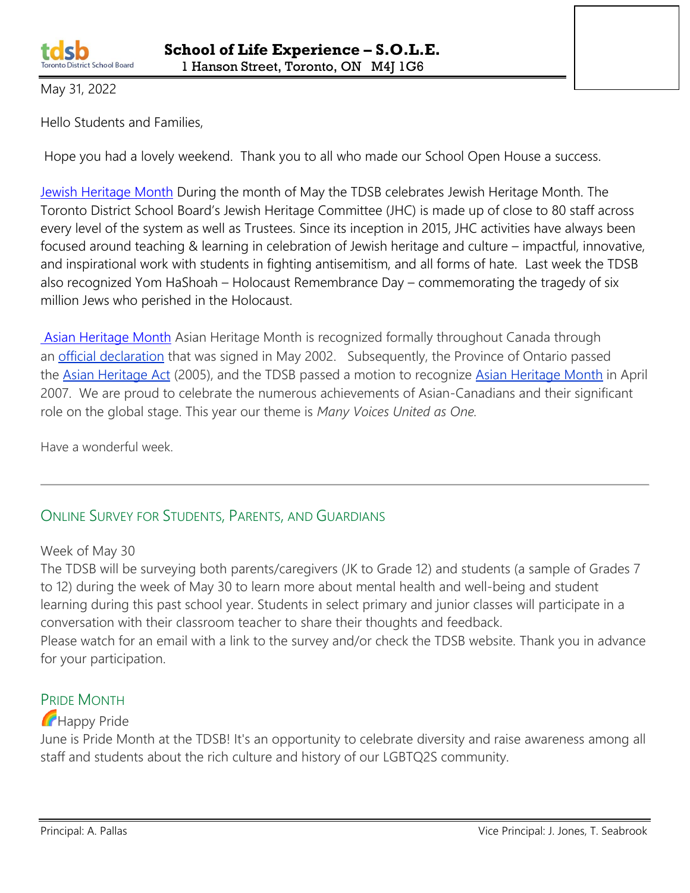

May 31, 2022

Hello Students and Families,

Hope you had a lovely weekend. Thank you to all who made our School Open House a success.

[Jewish Heritage Month](https://www.tdsb.on.ca/News/Article-Details/ArtMID/474/ArticleID/1802/Jewish-Heritage-Month-at-the-TDSB) During the month of May the TDSB celebrates Jewish Heritage Month. The Toronto District School Board's Jewish Heritage Committee (JHC) is made up of close to 80 staff across every level of the system as well as Trustees. Since its inception in 2015, JHC activities have always been focused around teaching & learning in celebration of Jewish heritage and culture – impactful, innovative, and inspirational work with students in fighting antisemitism, and all forms of hate. Last week the TDSB also recognized Yom HaShoah – Holocaust Remembrance Day – commemorating the tragedy of six million Jews who perished in the Holocaust.

[Asian Heritage Month](https://www.tdsb.on.ca/News/Article-Details/ArtMID/474/ArticleID/1799/Asian-Heritage-Month) Asian Heritage Month is recognized formally throughout Canada through an official [declaration](https://www.canada.ca/en/canadian-heritage/campaigns/asian-heritage-month/official-declaration.html) that was signed in May 2002. Subsequently, the Province of Ontario passed the Asian [Heritage](https://www.ontario.ca/laws/statute/05a10) Act (2005), and the TDSB passed a motion to recognize Asian [Heritage](https://www.tdsb.on.ca/Leadership/Boardroom/Agenda-Minutes/Type/M/Year/2007?Filename=70418.pdf) Month in April 2007. We are proud to celebrate the numerous achievements of Asian-Canadians and their significant role on the global stage. This year our theme is *Many Voices United as One.*

Have a wonderful week.

# ONLINE SURVEY FOR STUDENTS, PARENTS, AND GUARDIANS

#### Week of May 30

The TDSB will be surveying both parents/caregivers (JK to Grade 12) and students (a sample of Grades 7 to 12) during the week of May 30 to learn more about mental health and well-being and student learning during this past school year. Students in select primary and junior classes will participate in a conversation with their classroom teacher to share their thoughts and feedback. Please watch for an email with a link to the survey and/or check the TDSB website. Thank you in advance for your participation.

### PRIDE MONTH

### **Happy Pride**

June is Pride Month at the TDSB! It's an opportunity to celebrate diversity and raise awareness among all staff and students about the rich culture and history of our LGBTQ2S community.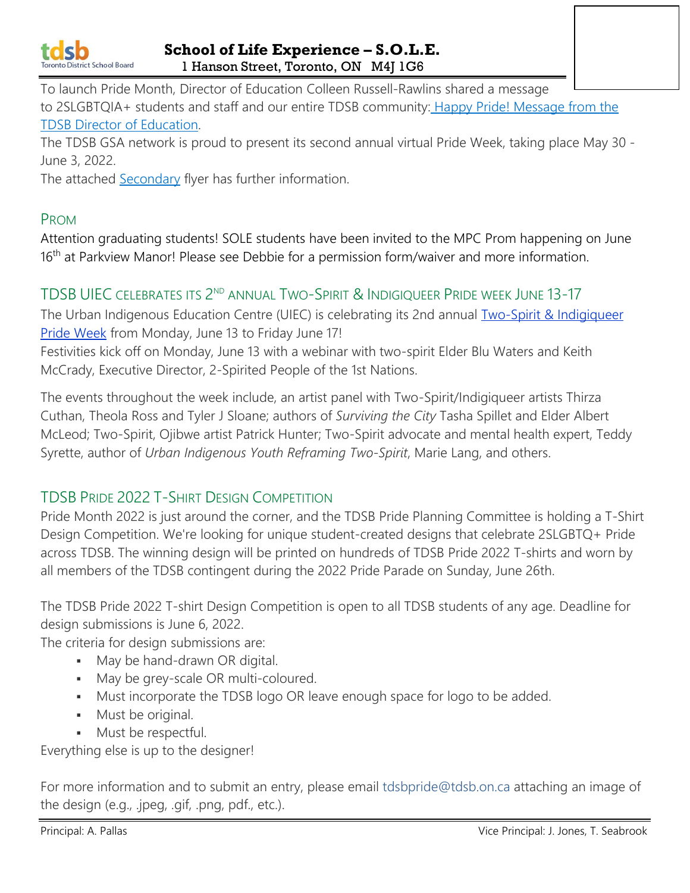To launch Pride Month, Director of Education Colleen Russell-Rawlins shared a message to 2SLGBTQIA+ students and staff and our entire TDSB community: Happy Pride! [Message](https://www.youtube.com/watch?v=7meJ-sGnDGI) from the TDSB Director of [Education.](https://www.youtube.com/watch?v=7meJ-sGnDGI)

# The TDSB GSA network is proud to present its second annual virtual Pride Week, taking place May 30 - June 3, 2022.

The attached [Secondary](https://drive.google.com/file/d/1dbcce9qoIboVQTuOdyNb85d11YaqqlDe/view?usp=sharing) flyer has further information.

# PROM

Attention graduating students! SOLE students have been invited to the MPC Prom happening on June 16<sup>th</sup> at Parkview Manor! Please see Debbie for a permission form/waiver and more information.

## TDSB UIEC CELEBRATES ITS 2<sup>nd</sup> annual Two-Spirit & Indigiqueer Pride week June 13-17

The Urban Indigenous Education Centre (UIEC) is celebrating its 2nd annual Two-Spirit & [Indigiqueer](https://www.tdsb.on.ca/Portals/0/docs/Article%20Documents/2022_TwoSpirit-12x18-r2.pdf) Pride [Week](https://www.tdsb.on.ca/Portals/0/docs/Article%20Documents/2022_TwoSpirit-12x18-r2.pdf) from Monday, June 13 to Friday June 17!

Festivities kick off on Monday, June 13 with a webinar with two-spirit Elder Blu Waters and Keith McCrady, Executive Director, 2-Spirited People of the 1st Nations.

The events throughout the week include, an artist panel with Two-Spirit/Indigiqueer artists Thirza Cuthan, Theola Ross and Tyler J Sloane; authors of *Surviving the City* Tasha Spillet and Elder Albert McLeod; Two-Spirit, Ojibwe artist Patrick Hunter; Two-Spirit advocate and mental health expert, Teddy Syrette, author of *Urban Indigenous Youth Reframing Two-Spirit*, Marie Lang, and others.

# TDSB PRIDE 2022 T-SHIRT DESIGN COMPETITION

Pride Month 2022 is just around the corner, and the TDSB Pride Planning Committee is holding a T-Shirt Design Competition. We're looking for unique student-created designs that celebrate 2SLGBTQ+ Pride across TDSB. The winning design will be printed on hundreds of TDSB Pride 2022 T-shirts and worn by all members of the TDSB contingent during the 2022 Pride Parade on Sunday, June 26th.

The TDSB Pride 2022 T-shirt Design Competition is open to all TDSB students of any age. Deadline for design submissions is June 6, 2022.

The criteria for design submissions are:

- **■** May be hand-drawn OR digital.
- May be grey-scale OR multi-coloured.
- **■** Must incorporate the TDSB logo OR leave enough space for logo to be added.
- **•** Must be original.
- Must be respectful.

Everything else is up to the designer!

For more information and to submit an entry, please email tdsbpride@tdsb.on.ca attaching an image of the design (e.g., .jpeg, .gif, .png, pdf., etc.).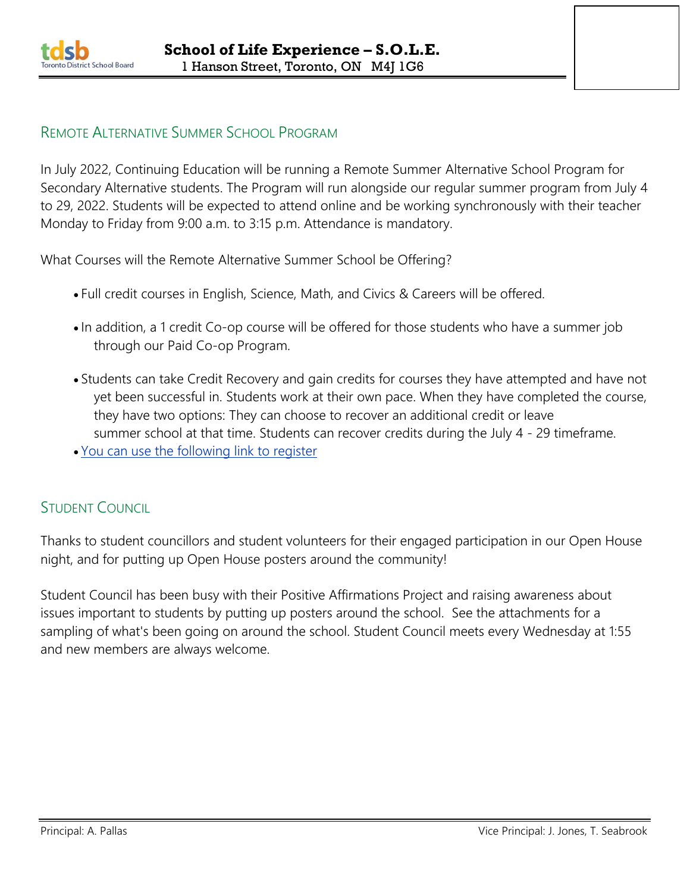### REMOTE ALTERNATIVE SUMMER SCHOOL PROGRAM

rict School Board

In July 2022, Continuing Education will be running a Remote Summer Alternative School Program for Secondary Alternative students. The Program will run alongside our regular summer program from July 4 to 29, 2022. Students will be expected to attend online and be working synchronously with their teacher Monday to Friday from 9:00 a.m. to 3:15 p.m. Attendance is mandatory.

What Courses will the Remote Alternative Summer School be Offering?

- Full credit courses in English, Science, Math, and Civics & Careers will be offered.
- In addition, a 1 credit Co-op course will be offered for those students who have a summer job through our Paid Co-op Program.
- Students can take Credit Recovery and gain credits for courses they have attempted and have not yet been successful in. Students work at their own pace. When they have completed the course, they have two options: They can choose to recover an additional credit or leave summer school at that time. Students can recover credits during the July 4 - 29 timeframe.
- [You can use the following link to register](https://tdsb.us17.list-manage.com/track/click?u=b6c8e51b89f37cd5ad7b1ca1d&id=0ae5f5a21e&e=361186ddf7)

## **STUDENT COUNCIL**

Thanks to student councillors and student volunteers for their engaged participation in our Open House night, and for putting up Open House posters around the community!

Student Council has been busy with their Positive Affirmations Project and raising awareness about issues important to students by putting up posters around the school. See the attachments for a sampling of what's been going on around the school. Student Council meets every Wednesday at 1:55 and new members are always welcome.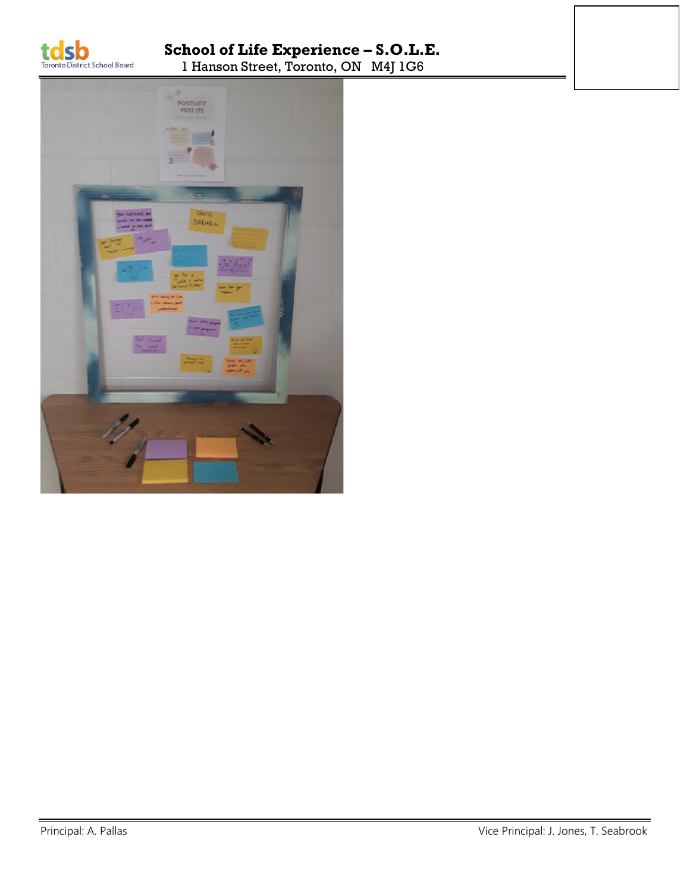

# **School of Life Experience – S.O.L.E.**

1 Hanson Street, Toronto, ON M4J 1G6

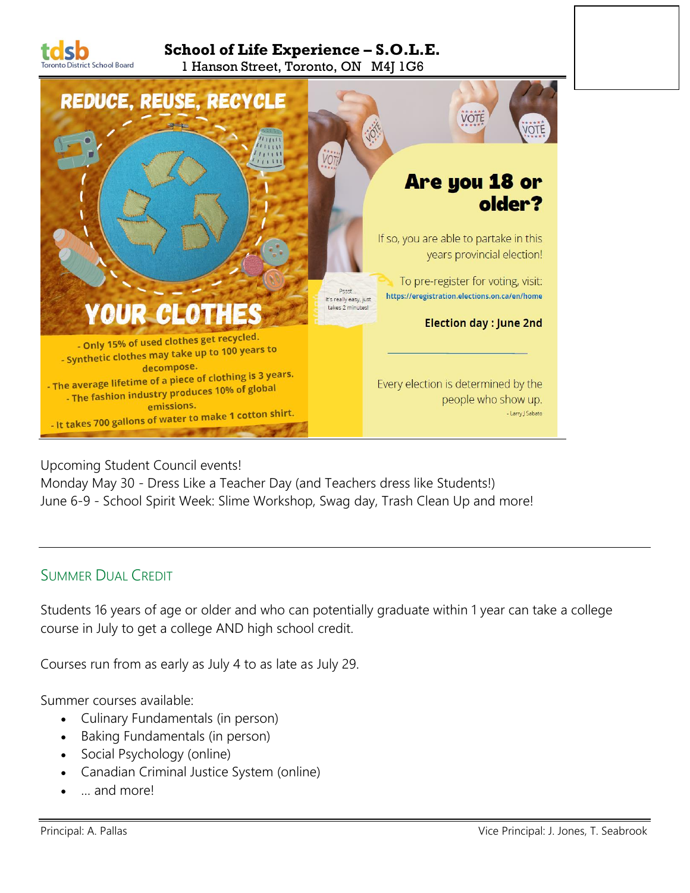

**School of Life Experience – S.O.L.E.** 1 Hanson Street, Toronto, ON M4J 1G6



Upcoming Student Council events!

Monday May 30 - Dress Like a Teacher Day (and Teachers dress like Students!) June 6-9 - School Spirit Week: Slime Workshop, Swag day, Trash Clean Up and more!

## SUMMER DUAL CREDIT

Students 16 years of age or older and who can potentially graduate within 1 year can take a college course in July to get a college AND high school credit.

Courses run from as early as July 4 to as late as July 29.

Summer courses available:

- Culinary Fundamentals (in person)
- Baking Fundamentals (in person)
- Social Psychology (online)
- Canadian Criminal Justice System (online)
- ... and more!